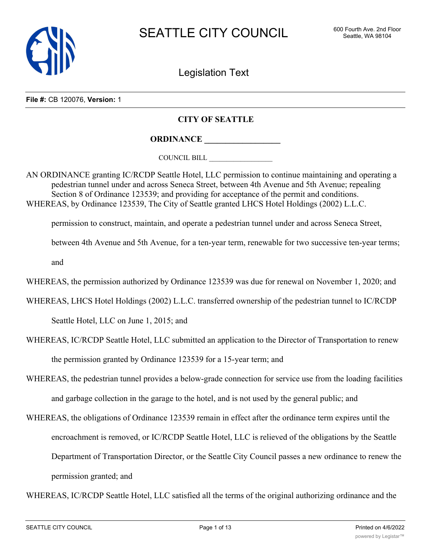

Legislation Text

**File #:** CB 120076, **Version:** 1

# **CITY OF SEATTLE**

**ORDINANCE \_\_\_\_\_\_\_\_\_\_\_\_\_\_\_\_\_\_**

COUNCIL BILL \_\_\_\_\_\_\_\_\_\_\_\_\_\_\_\_\_\_

AN ORDINANCE granting IC/RCDP Seattle Hotel, LLC permission to continue maintaining and operating a pedestrian tunnel under and across Seneca Street, between 4th Avenue and 5th Avenue; repealing Section 8 of Ordinance 123539; and providing for acceptance of the permit and conditions. WHEREAS, by Ordinance 123539, The City of Seattle granted LHCS Hotel Holdings (2002) L.L.C.

permission to construct, maintain, and operate a pedestrian tunnel under and across Seneca Street,

between 4th Avenue and 5th Avenue, for a ten-year term, renewable for two successive ten-year terms;

and

WHEREAS, the permission authorized by Ordinance 123539 was due for renewal on November 1, 2020; and

WHEREAS, LHCS Hotel Holdings (2002) L.L.C. transferred ownership of the pedestrian tunnel to IC/RCDP

Seattle Hotel, LLC on June 1, 2015; and

- WHEREAS, IC/RCDP Seattle Hotel, LLC submitted an application to the Director of Transportation to renew the permission granted by Ordinance 123539 for a 15-year term; and
- WHEREAS, the pedestrian tunnel provides a below-grade connection for service use from the loading facilities and garbage collection in the garage to the hotel, and is not used by the general public; and
- WHEREAS, the obligations of Ordinance 123539 remain in effect after the ordinance term expires until the encroachment is removed, or IC/RCDP Seattle Hotel, LLC is relieved of the obligations by the Seattle Department of Transportation Director, or the Seattle City Council passes a new ordinance to renew the permission granted; and

WHEREAS, IC/RCDP Seattle Hotel, LLC satisfied all the terms of the original authorizing ordinance and the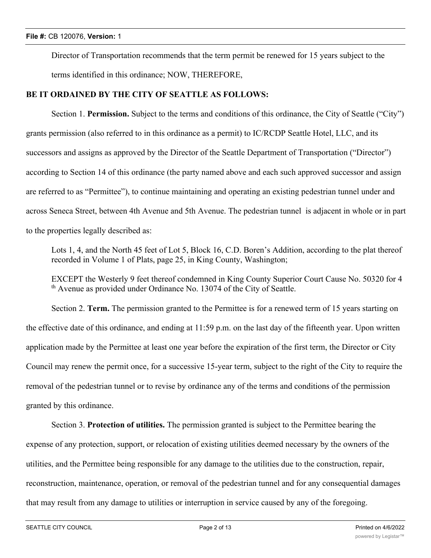Director of Transportation recommends that the term permit be renewed for 15 years subject to the terms identified in this ordinance; NOW, THEREFORE,

## **BE IT ORDAINED BY THE CITY OF SEATTLE AS FOLLOWS:**

Section 1. **Permission.** Subject to the terms and conditions of this ordinance, the City of Seattle ("City") grants permission (also referred to in this ordinance as a permit) to IC/RCDP Seattle Hotel, LLC, and its successors and assigns as approved by the Director of the Seattle Department of Transportation ("Director") according to Section 14 of this ordinance (the party named above and each such approved successor and assign are referred to as "Permittee"), to continue maintaining and operating an existing pedestrian tunnel under and across Seneca Street, between 4th Avenue and 5th Avenue. The pedestrian tunnel is adjacent in whole or in part to the properties legally described as:

Lots 1, 4, and the North 45 feet of Lot 5, Block 16, C.D. Boren's Addition, according to the plat thereof recorded in Volume 1 of Plats, page 25, in King County, Washington;

EXCEPT the Westerly 9 feet thereof condemned in King County Superior Court Cause No. 50320 for 4  $<sup>th</sup>$  Avenue as provided under Ordinance No. 13074 of the City of Seattle.</sup>

Section 2. **Term.** The permission granted to the Permittee is for a renewed term of 15 years starting on the effective date of this ordinance, and ending at 11:59 p.m. on the last day of the fifteenth year. Upon written application made by the Permittee at least one year before the expiration of the first term, the Director or City Council may renew the permit once, for a successive 15-year term, subject to the right of the City to require the removal of the pedestrian tunnel or to revise by ordinance any of the terms and conditions of the permission granted by this ordinance.

Section 3. **Protection of utilities.** The permission granted is subject to the Permittee bearing the expense of any protection, support, or relocation of existing utilities deemed necessary by the owners of the utilities, and the Permittee being responsible for any damage to the utilities due to the construction, repair, reconstruction, maintenance, operation, or removal of the pedestrian tunnel and for any consequential damages that may result from any damage to utilities or interruption in service caused by any of the foregoing.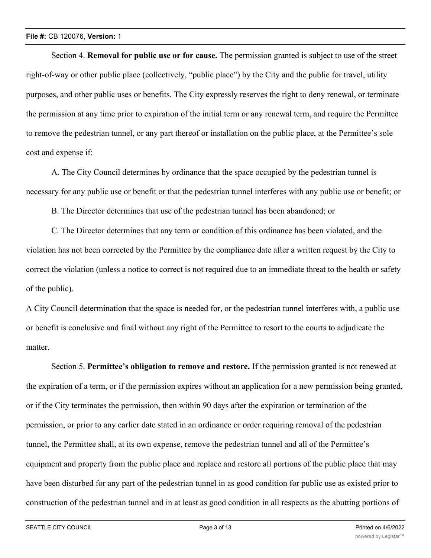Section 4. **Removal for public use or for cause.** The permission granted is subject to use of the street right-of-way or other public place (collectively, "public place") by the City and the public for travel, utility purposes, and other public uses or benefits. The City expressly reserves the right to deny renewal, or terminate the permission at any time prior to expiration of the initial term or any renewal term, and require the Permittee to remove the pedestrian tunnel, or any part thereof or installation on the public place, at the Permittee's sole cost and expense if:

A. The City Council determines by ordinance that the space occupied by the pedestrian tunnel is necessary for any public use or benefit or that the pedestrian tunnel interferes with any public use or benefit; or

B. The Director determines that use of the pedestrian tunnel has been abandoned; or

C. The Director determines that any term or condition of this ordinance has been violated, and the violation has not been corrected by the Permittee by the compliance date after a written request by the City to correct the violation (unless a notice to correct is not required due to an immediate threat to the health or safety of the public).

A City Council determination that the space is needed for, or the pedestrian tunnel interferes with, a public use or benefit is conclusive and final without any right of the Permittee to resort to the courts to adjudicate the matter.

Section 5. **Permittee's obligation to remove and restore.** If the permission granted is not renewed at the expiration of a term, or if the permission expires without an application for a new permission being granted, or if the City terminates the permission, then within 90 days after the expiration or termination of the permission, or prior to any earlier date stated in an ordinance or order requiring removal of the pedestrian tunnel, the Permittee shall, at its own expense, remove the pedestrian tunnel and all of the Permittee's equipment and property from the public place and replace and restore all portions of the public place that may have been disturbed for any part of the pedestrian tunnel in as good condition for public use as existed prior to construction of the pedestrian tunnel and in at least as good condition in all respects as the abutting portions of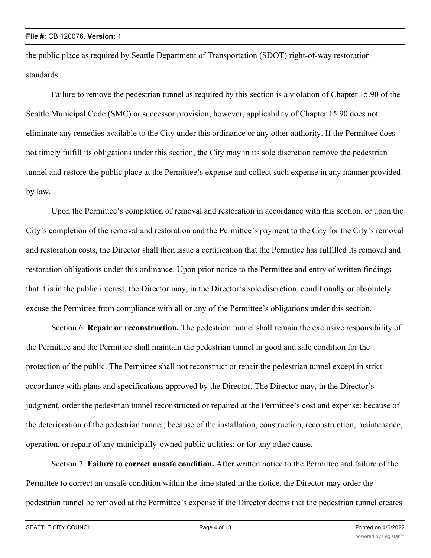the public place as required by Seattle Department of Transportation (SDOT) right-of-way restoration standards.

Failure to remove the pedestrian tunnel as required by this section is a violation of Chapter 15.90 of the Seattle Municipal Code (SMC) or successor provision; however, applicability of Chapter 15.90 does not eliminate any remedies available to the City under this ordinance or any other authority. If the Permittee does not timely fulfill its obligations under this section, the City may in its sole discretion remove the pedestrian tunnel and restore the public place at the Permittee's expense and collect such expense in any manner provided by law.

Upon the Permittee's completion of removal and restoration in accordance with this section, or upon the City's completion of the removal and restoration and the Permittee's payment to the City for the City's removal and restoration costs, the Director shall then issue a certification that the Permittee has fulfilled its removal and restoration obligations under this ordinance. Upon prior notice to the Permittee and entry of written findings that it is in the public interest, the Director may, in the Director's sole discretion, conditionally or absolutely excuse the Permittee from compliance with all or any of the Permittee's obligations under this section.

Section 6. **Repair or reconstruction.** The pedestrian tunnel shall remain the exclusive responsibility of the Permittee and the Permittee shall maintain the pedestrian tunnel in good and safe condition for the protection of the public. The Permittee shall not reconstruct or repair the pedestrian tunnel except in strict accordance with plans and specifications approved by the Director. The Director may, in the Director's judgment, order the pedestrian tunnel reconstructed or repaired at the Permittee's cost and expense: because of the deterioration of the pedestrian tunnel; because of the installation, construction, reconstruction, maintenance, operation, or repair of any municipally-owned public utilities; or for any other cause.

Section 7. **Failure to correct unsafe condition.** After written notice to the Permittee and failure of the Permittee to correct an unsafe condition within the time stated in the notice, the Director may order the pedestrian tunnel be removed at the Permittee's expense if the Director deems that the pedestrian tunnel creates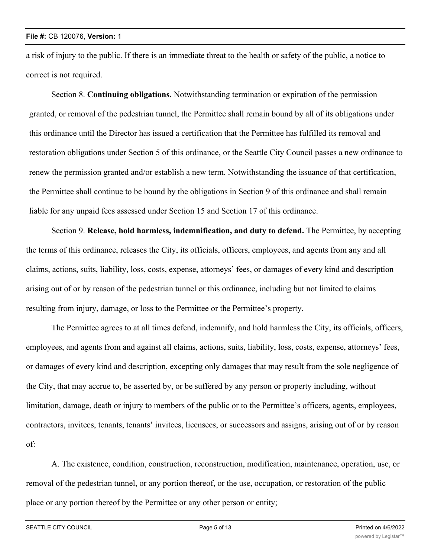a risk of injury to the public. If there is an immediate threat to the health or safety of the public, a notice to correct is not required.

Section 8. **Continuing obligations.** Notwithstanding termination or expiration of the permission granted, or removal of the pedestrian tunnel, the Permittee shall remain bound by all of its obligations under this ordinance until the Director has issued a certification that the Permittee has fulfilled its removal and restoration obligations under Section 5 of this ordinance, or the Seattle City Council passes a new ordinance to renew the permission granted and/or establish a new term. Notwithstanding the issuance of that certification, the Permittee shall continue to be bound by the obligations in Section 9 of this ordinance and shall remain liable for any unpaid fees assessed under Section 15 and Section 17 of this ordinance.

Section 9. **Release, hold harmless, indemnification, and duty to defend.** The Permittee, by accepting the terms of this ordinance, releases the City, its officials, officers, employees, and agents from any and all claims, actions, suits, liability, loss, costs, expense, attorneys' fees, or damages of every kind and description arising out of or by reason of the pedestrian tunnel or this ordinance, including but not limited to claims resulting from injury, damage, or loss to the Permittee or the Permittee's property.

The Permittee agrees to at all times defend, indemnify, and hold harmless the City, its officials, officers, employees, and agents from and against all claims, actions, suits, liability, loss, costs, expense, attorneys' fees, or damages of every kind and description, excepting only damages that may result from the sole negligence of the City, that may accrue to, be asserted by, or be suffered by any person or property including, without limitation, damage, death or injury to members of the public or to the Permittee's officers, agents, employees, contractors, invitees, tenants, tenants' invitees, licensees, or successors and assigns, arising out of or by reason of:

A. The existence, condition, construction, reconstruction, modification, maintenance, operation, use, or removal of the pedestrian tunnel, or any portion thereof, or the use, occupation, or restoration of the public place or any portion thereof by the Permittee or any other person or entity;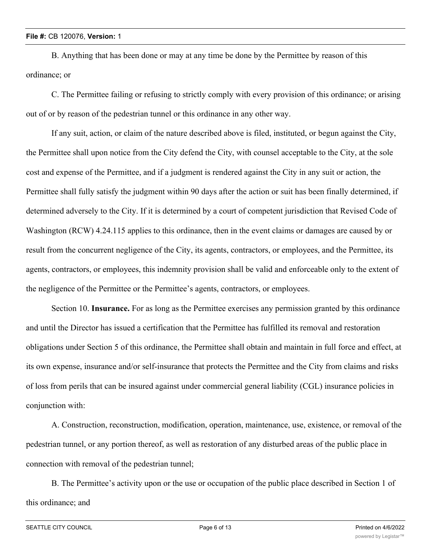B. Anything that has been done or may at any time be done by the Permittee by reason of this ordinance; or

C. The Permittee failing or refusing to strictly comply with every provision of this ordinance; or arising out of or by reason of the pedestrian tunnel or this ordinance in any other way.

If any suit, action, or claim of the nature described above is filed, instituted, or begun against the City, the Permittee shall upon notice from the City defend the City, with counsel acceptable to the City, at the sole cost and expense of the Permittee, and if a judgment is rendered against the City in any suit or action, the Permittee shall fully satisfy the judgment within 90 days after the action or suit has been finally determined, if determined adversely to the City. If it is determined by a court of competent jurisdiction that Revised Code of Washington (RCW) 4.24.115 applies to this ordinance, then in the event claims or damages are caused by or result from the concurrent negligence of the City, its agents, contractors, or employees, and the Permittee, its agents, contractors, or employees, this indemnity provision shall be valid and enforceable only to the extent of the negligence of the Permittee or the Permittee's agents, contractors, or employees.

Section 10. **Insurance.** For as long as the Permittee exercises any permission granted by this ordinance and until the Director has issued a certification that the Permittee has fulfilled its removal and restoration obligations under Section 5 of this ordinance, the Permittee shall obtain and maintain in full force and effect, at its own expense, insurance and/or self-insurance that protects the Permittee and the City from claims and risks of loss from perils that can be insured against under commercial general liability (CGL) insurance policies in conjunction with:

A. Construction, reconstruction, modification, operation, maintenance, use, existence, or removal of the pedestrian tunnel, or any portion thereof, as well as restoration of any disturbed areas of the public place in connection with removal of the pedestrian tunnel;

B. The Permittee's activity upon or the use or occupation of the public place described in Section 1 of this ordinance; and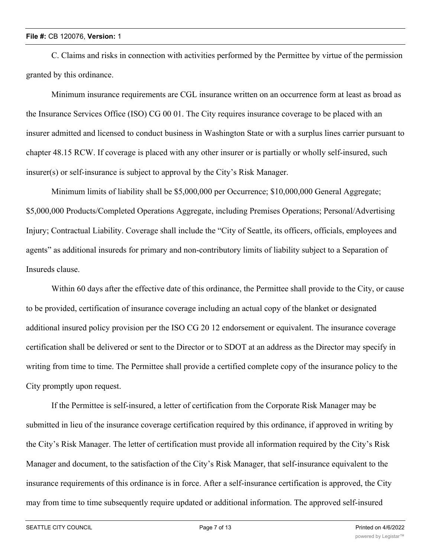C. Claims and risks in connection with activities performed by the Permittee by virtue of the permission granted by this ordinance.

Minimum insurance requirements are CGL insurance written on an occurrence form at least as broad as the Insurance Services Office (ISO) CG 00 01. The City requires insurance coverage to be placed with an insurer admitted and licensed to conduct business in Washington State or with a surplus lines carrier pursuant to chapter 48.15 RCW. If coverage is placed with any other insurer or is partially or wholly self-insured, such insurer(s) or self-insurance is subject to approval by the City's Risk Manager.

Minimum limits of liability shall be \$5,000,000 per Occurrence; \$10,000,000 General Aggregate; \$5,000,000 Products/Completed Operations Aggregate, including Premises Operations; Personal/Advertising Injury; Contractual Liability. Coverage shall include the "City of Seattle, its officers, officials, employees and agents" as additional insureds for primary and non-contributory limits of liability subject to a Separation of Insureds clause.

Within 60 days after the effective date of this ordinance, the Permittee shall provide to the City, or cause to be provided, certification of insurance coverage including an actual copy of the blanket or designated additional insured policy provision per the ISO CG 20 12 endorsement or equivalent. The insurance coverage certification shall be delivered or sent to the Director or to SDOT at an address as the Director may specify in writing from time to time. The Permittee shall provide a certified complete copy of the insurance policy to the City promptly upon request.

If the Permittee is self-insured, a letter of certification from the Corporate Risk Manager may be submitted in lieu of the insurance coverage certification required by this ordinance, if approved in writing by the City's Risk Manager. The letter of certification must provide all information required by the City's Risk Manager and document, to the satisfaction of the City's Risk Manager, that self-insurance equivalent to the insurance requirements of this ordinance is in force. After a self-insurance certification is approved, the City may from time to time subsequently require updated or additional information. The approved self-insured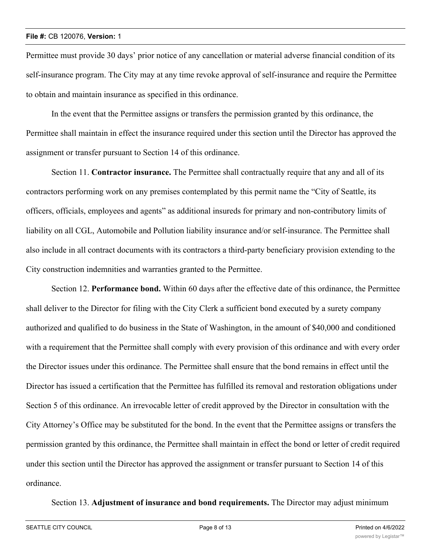Permittee must provide 30 days' prior notice of any cancellation or material adverse financial condition of its self-insurance program. The City may at any time revoke approval of self-insurance and require the Permittee to obtain and maintain insurance as specified in this ordinance.

In the event that the Permittee assigns or transfers the permission granted by this ordinance, the Permittee shall maintain in effect the insurance required under this section until the Director has approved the assignment or transfer pursuant to Section 14 of this ordinance.

Section 11. **Contractor insurance.** The Permittee shall contractually require that any and all of its contractors performing work on any premises contemplated by this permit name the "City of Seattle, its officers, officials, employees and agents" as additional insureds for primary and non-contributory limits of liability on all CGL, Automobile and Pollution liability insurance and/or self-insurance. The Permittee shall also include in all contract documents with its contractors a third-party beneficiary provision extending to the City construction indemnities and warranties granted to the Permittee.

Section 12. **Performance bond.** Within 60 days after the effective date of this ordinance, the Permittee shall deliver to the Director for filing with the City Clerk a sufficient bond executed by a surety company authorized and qualified to do business in the State of Washington, in the amount of \$40,000 and conditioned with a requirement that the Permittee shall comply with every provision of this ordinance and with every order the Director issues under this ordinance. The Permittee shall ensure that the bond remains in effect until the Director has issued a certification that the Permittee has fulfilled its removal and restoration obligations under Section 5 of this ordinance. An irrevocable letter of credit approved by the Director in consultation with the City Attorney's Office may be substituted for the bond. In the event that the Permittee assigns or transfers the permission granted by this ordinance, the Permittee shall maintain in effect the bond or letter of credit required under this section until the Director has approved the assignment or transfer pursuant to Section 14 of this ordinance.

Section 13. **Adjustment of insurance and bond requirements.** The Director may adjust minimum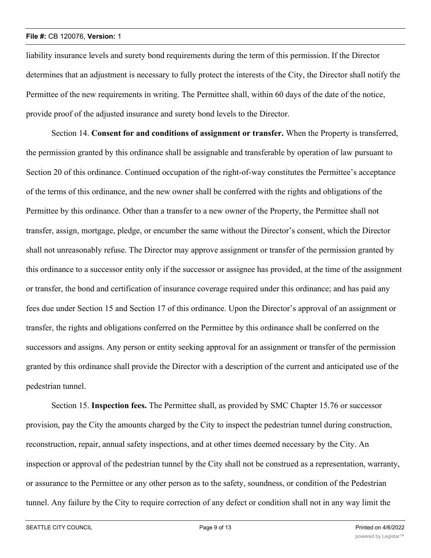liability insurance levels and surety bond requirements during the term of this permission. If the Director determines that an adjustment is necessary to fully protect the interests of the City, the Director shall notify the Permittee of the new requirements in writing. The Permittee shall, within 60 days of the date of the notice, provide proof of the adjusted insurance and surety bond levels to the Director.

Section 14. **Consent for and conditions of assignment or transfer.** When the Property is transferred, the permission granted by this ordinance shall be assignable and transferable by operation of law pursuant to Section 20 of this ordinance. Continued occupation of the right-of-way constitutes the Permittee's acceptance of the terms of this ordinance, and the new owner shall be conferred with the rights and obligations of the Permittee by this ordinance. Other than a transfer to a new owner of the Property, the Permittee shall not transfer, assign, mortgage, pledge, or encumber the same without the Director's consent, which the Director shall not unreasonably refuse. The Director may approve assignment or transfer of the permission granted by this ordinance to a successor entity only if the successor or assignee has provided, at the time of the assignment or transfer, the bond and certification of insurance coverage required under this ordinance; and has paid any fees due under Section 15 and Section 17 of this ordinance. Upon the Director's approval of an assignment or transfer, the rights and obligations conferred on the Permittee by this ordinance shall be conferred on the successors and assigns. Any person or entity seeking approval for an assignment or transfer of the permission granted by this ordinance shall provide the Director with a description of the current and anticipated use of the pedestrian tunnel.

Section 15. **Inspection fees.** The Permittee shall, as provided by SMC Chapter 15.76 or successor provision, pay the City the amounts charged by the City to inspect the pedestrian tunnel during construction, reconstruction, repair, annual safety inspections, and at other times deemed necessary by the City. An inspection or approval of the pedestrian tunnel by the City shall not be construed as a representation, warranty, or assurance to the Permittee or any other person as to the safety, soundness, or condition of the Pedestrian tunnel. Any failure by the City to require correction of any defect or condition shall not in any way limit the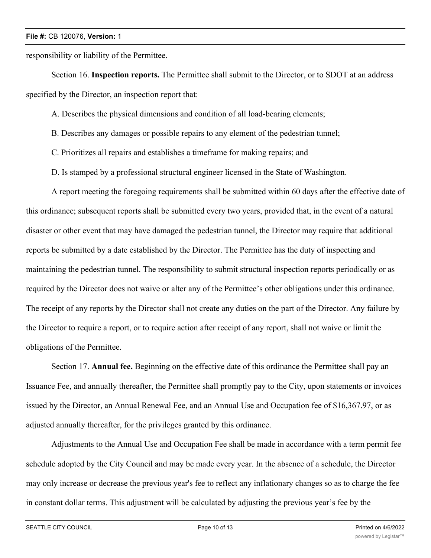responsibility or liability of the Permittee.

Section 16. **Inspection reports.** The Permittee shall submit to the Director, or to SDOT at an address specified by the Director, an inspection report that:

A. Describes the physical dimensions and condition of all load-bearing elements;

B. Describes any damages or possible repairs to any element of the pedestrian tunnel;

C. Prioritizes all repairs and establishes a timeframe for making repairs; and

D. Is stamped by a professional structural engineer licensed in the State of Washington.

A report meeting the foregoing requirements shall be submitted within 60 days after the effective date of this ordinance; subsequent reports shall be submitted every two years, provided that, in the event of a natural disaster or other event that may have damaged the pedestrian tunnel, the Director may require that additional reports be submitted by a date established by the Director. The Permittee has the duty of inspecting and maintaining the pedestrian tunnel. The responsibility to submit structural inspection reports periodically or as required by the Director does not waive or alter any of the Permittee's other obligations under this ordinance. The receipt of any reports by the Director shall not create any duties on the part of the Director. Any failure by the Director to require a report, or to require action after receipt of any report, shall not waive or limit the obligations of the Permittee.

Section 17. **Annual fee.** Beginning on the effective date of this ordinance the Permittee shall pay an Issuance Fee, and annually thereafter, the Permittee shall promptly pay to the City, upon statements or invoices issued by the Director, an Annual Renewal Fee, and an Annual Use and Occupation fee of \$16,367.97, or as adjusted annually thereafter, for the privileges granted by this ordinance.

Adjustments to the Annual Use and Occupation Fee shall be made in accordance with a term permit fee schedule adopted by the City Council and may be made every year. In the absence of a schedule, the Director may only increase or decrease the previous year's fee to reflect any inflationary changes so as to charge the fee in constant dollar terms. This adjustment will be calculated by adjusting the previous year's fee by the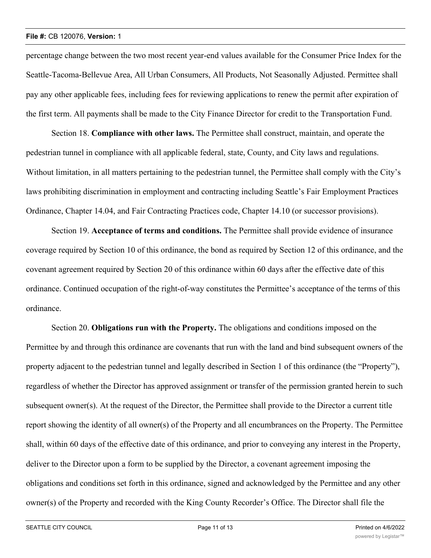percentage change between the two most recent year-end values available for the Consumer Price Index for the Seattle-Tacoma-Bellevue Area, All Urban Consumers, All Products, Not Seasonally Adjusted. Permittee shall pay any other applicable fees, including fees for reviewing applications to renew the permit after expiration of the first term. All payments shall be made to the City Finance Director for credit to the Transportation Fund.

Section 18. **Compliance with other laws.** The Permittee shall construct, maintain, and operate the pedestrian tunnel in compliance with all applicable federal, state, County, and City laws and regulations. Without limitation, in all matters pertaining to the pedestrian tunnel, the Permittee shall comply with the City's laws prohibiting discrimination in employment and contracting including Seattle's Fair Employment Practices Ordinance, Chapter 14.04, and Fair Contracting Practices code, Chapter 14.10 (or successor provisions).

Section 19. **Acceptance of terms and conditions.** The Permittee shall provide evidence of insurance coverage required by Section 10 of this ordinance, the bond as required by Section 12 of this ordinance, and the covenant agreement required by Section 20 of this ordinance within 60 days after the effective date of this ordinance. Continued occupation of the right-of-way constitutes the Permittee's acceptance of the terms of this ordinance.

Section 20. **Obligations run with the Property.** The obligations and conditions imposed on the Permittee by and through this ordinance are covenants that run with the land and bind subsequent owners of the property adjacent to the pedestrian tunnel and legally described in Section 1 of this ordinance (the "Property"), regardless of whether the Director has approved assignment or transfer of the permission granted herein to such subsequent owner(s). At the request of the Director, the Permittee shall provide to the Director a current title report showing the identity of all owner(s) of the Property and all encumbrances on the Property. The Permittee shall, within 60 days of the effective date of this ordinance, and prior to conveying any interest in the Property, deliver to the Director upon a form to be supplied by the Director, a covenant agreement imposing the obligations and conditions set forth in this ordinance, signed and acknowledged by the Permittee and any other owner(s) of the Property and recorded with the King County Recorder's Office. The Director shall file the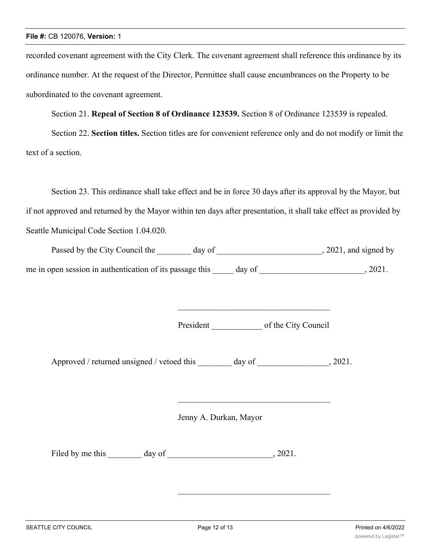recorded covenant agreement with the City Clerk. The covenant agreement shall reference this ordinance by its ordinance number. At the request of the Director, Permittee shall cause encumbrances on the Property to be subordinated to the covenant agreement.

Section 21. **Repeal of Section 8 of Ordinance 123539.** Section 8 of Ordinance 123539 is repealed.

Section 22. **Section titles.** Section titles are for convenient reference only and do not modify or limit the text of a section.

Section 23. This ordinance shall take effect and be in force 30 days after its approval by the Mayor, but if not approved and returned by the Mayor within ten days after presentation, it shall take effect as provided by Seattle Municipal Code Section 1.04.020.

| Passed by the City Council the                           | day of | , 2021, and signed by |
|----------------------------------------------------------|--------|-----------------------|
| me in open session in authentication of its passage this | day of | 2021.                 |

President of the City Council

Approved / returned unsigned / vetoed this day of  $\qquad \qquad$ , 2021.

Jenny A. Durkan, Mayor

Filed by me this day of 3021.